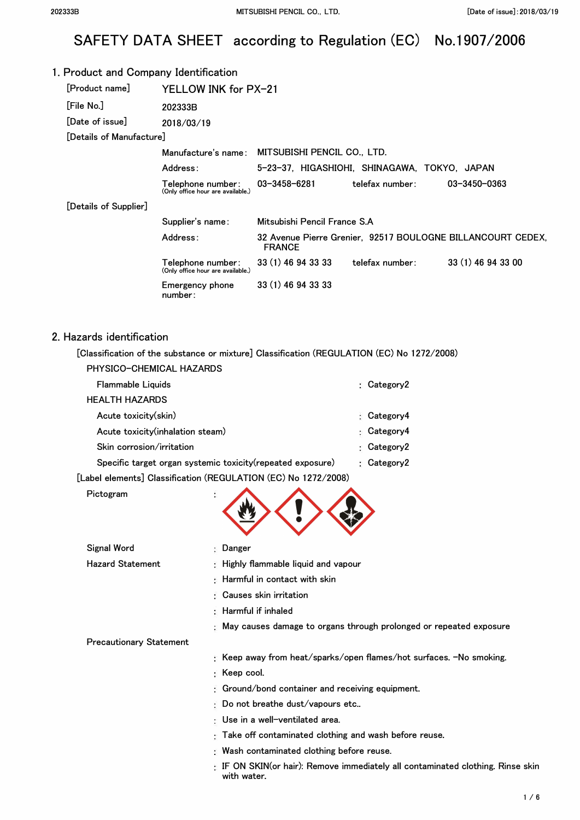# SAFETY DATA SHEET according to Regulation (EC) No.1907/2006

| 1. Product and Company Identification |                                                        |                                                 |                 |                                                             |
|---------------------------------------|--------------------------------------------------------|-------------------------------------------------|-----------------|-------------------------------------------------------------|
| [Product name]                        | YELLOW INK for PX-21                                   |                                                 |                 |                                                             |
| [File No.]                            | 202333B                                                |                                                 |                 |                                                             |
| [Date of issue]                       | 2018/03/19                                             |                                                 |                 |                                                             |
| [Details of Manufacture]              |                                                        |                                                 |                 |                                                             |
|                                       |                                                        | Manufacture's name: MITSUBISHI PENCIL CO., LTD. |                 |                                                             |
|                                       | Address:                                               | 5-23-37, HIGASHIOHI, SHINAGAWA, TOKYO, JAPAN    |                 |                                                             |
|                                       | Telephone number:<br>(Only office hour are available.) | 03-3458-6281                                    | telefax number: | 03-3450-0363                                                |
| [Details of Supplier]                 |                                                        |                                                 |                 |                                                             |
|                                       | Supplier's name:                                       | Mitsubishi Pencil France S.A                    |                 |                                                             |
|                                       | Address:                                               | <b>FRANCE</b>                                   |                 | 32 Avenue Pierre Grenier, 92517 BOULOGNE BILLANCOURT CEDEX, |
|                                       | Telephone number:<br>(Only office hour are available.) | 33 (1) 46 94 33 33                              | telefax number: | 33 (1) 46 94 33 00                                          |
|                                       | Emergency phone<br>number:                             | 33 (1) 46 94 33 33                              |                 |                                                             |
|                                       |                                                        |                                                 |                 |                                                             |
|                                       |                                                        |                                                 |                 |                                                             |

### 2. Hazards identification

**[Classification of the substance or mixture] Classification (REGULATION (EC) No 1272/2008)** 

| PHYSICO-CHEMICAL HAZARDS                                    |                 |
|-------------------------------------------------------------|-----------------|
| Flammable Liquids                                           | : $Category2$   |
| <b>HEALTH HAZARDS</b>                                       |                 |
| Acute toxicity(skin)                                        | Category4<br>۰. |
| Acute toxicity(inhalation steam)                            | Category4<br>Ð. |
| Skin corrosion/irritation                                   | Category2<br>۰. |
| Specific target organ systemic toxicity (repeated exposure) | : $Category2$   |
|                                                             |                 |

**with water.** 

**[Label elements] Classification (REGULATION (EC) No 1272/2008)** 

| Pictogram |  |
|-----------|--|
|-----------|--|

| Signal Word                    | : Danger                                                                            |
|--------------------------------|-------------------------------------------------------------------------------------|
| <b>Hazard Statement</b>        | : Highly flammable liquid and vapour                                                |
|                                | $\pm$ Harmful in contact with skin                                                  |
|                                | : Causes skin irritation                                                            |
|                                | $\therefore$ Harmful if inhaled                                                     |
|                                | : May causes damage to organs through prolonged or repeated exposure                |
| <b>Precautionary Statement</b> |                                                                                     |
|                                | : Keep away from heat/sparks/open flames/hot surfaces. -No smoking.                 |
|                                | $\colon$ Keep cool.                                                                 |
|                                | <b>Ground/bond container and receiving equipment.</b>                               |
|                                | $\mathbb E$ Do not breathe dust/vapours etc                                         |
|                                | ∶ Use in a well−ventilated area.                                                    |
|                                | : Take off contaminated clothing and wash before reuse.                             |
|                                | : Wash contaminated clothing before reuse.                                          |
|                                | $\pm$ IF ON SKIN(or hair): Remove immediately all contaminated clothing. Rinse skin |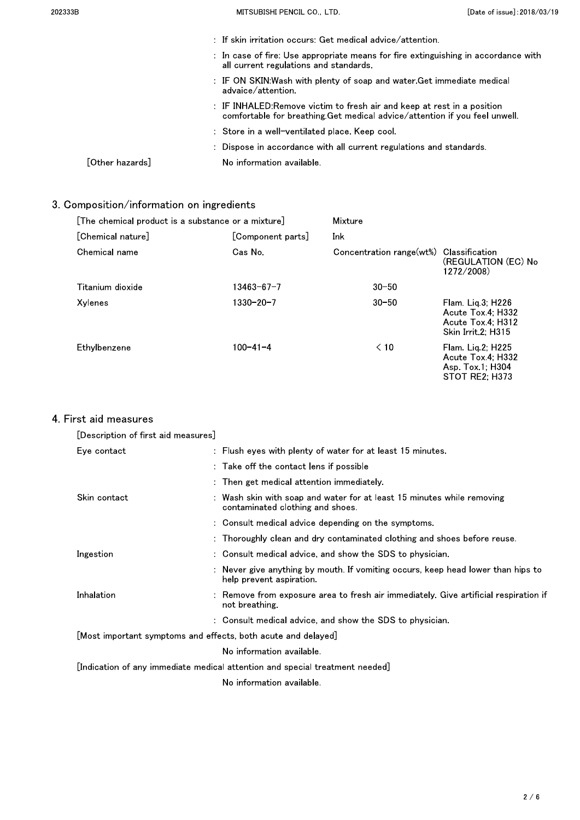| 202333B                                                                                                                      | MITSUBISHI PENCIL CO., LTD.                                                                                                                          | [Date of issue]: 2018/03/19 |
|------------------------------------------------------------------------------------------------------------------------------|------------------------------------------------------------------------------------------------------------------------------------------------------|-----------------------------|
|                                                                                                                              | $\pm$ If skin irritation occurs: Get medical advice/attention.                                                                                       |                             |
| : In case of fire: Use appropriate means for fire extinguishing in accordance with<br>all current regulations and standards. |                                                                                                                                                      |                             |
|                                                                                                                              | : IF ON SKIN:Wash with plenty of soap and water.Get immediate medical<br>advaice/attention.                                                          |                             |
|                                                                                                                              | : IF INHALED:Remove victim to fresh air and keep at rest in a position<br>comfortable for breathing Get medical advice/attention if you feel unwell. |                             |
| : Store in a well-ventilated place. Keep cool.                                                                               |                                                                                                                                                      |                             |
|                                                                                                                              | : Dispose in accordance with all current regulations and standards.                                                                                  |                             |
| $\lceil$ Other hazards $\rceil$                                                                                              | No information available.                                                                                                                            |                             |

## 3. Composition/information on ingredients

| [The chemical product is a substance or a mixture] |                | Mixture                  |                                                                                    |
|----------------------------------------------------|----------------|--------------------------|------------------------------------------------------------------------------------|
| [Chemical nature]<br>[Component parts]             |                | Ink                      |                                                                                    |
| Chemical name                                      | Cas No         | Concentration range(wt%) | Classification<br>(REGULATION (EC) No<br>1272/2008)                                |
| Titanium dioxide                                   | 13463-67-7     | $30 - 50$                |                                                                                    |
| Xylenes                                            | 1330-20-7      | $30 - 50$                | $Flam$ Lig 3; H226<br>Acute Tox 4: H332<br>Acute Tox 4: H312<br>Skin Irrit 2: H315 |
| Ethylbenzene                                       | $100 - 41 - 4$ | $\leq 10$                | Flam. Lig. 2; H225<br>Acute Tox 4: H332<br>Asp. Tox 1: H304<br>STOT RE2; H373      |

### 4 First aid measures

| [Description of first aid measures]                                          |                                                                                                              |  |
|------------------------------------------------------------------------------|--------------------------------------------------------------------------------------------------------------|--|
| Eye contact                                                                  | : Flush eyes with plenty of water for at least 15 minutes.                                                   |  |
|                                                                              | : Take off the contact lens if possible                                                                      |  |
|                                                                              | : Then get medical attention immediately.                                                                    |  |
| Skin contact                                                                 | Wash skin with soap and water for at least 15 minutes while removing<br>contaminated clothing and shoes.     |  |
|                                                                              | : Consult medical advice depending on the symptoms.                                                          |  |
|                                                                              | : Thoroughly clean and dry contaminated clothing and shoes before reuse.                                     |  |
| Ingestion                                                                    | : Consult medical advice, and show the SDS to physician.                                                     |  |
|                                                                              | : Never give anything by mouth. If vomiting occurs, keep head lower than hips to<br>help prevent aspiration. |  |
| Inhalation                                                                   | Remove from exposure area to fresh air immediately. Give artificial respiration if<br>not breathing          |  |
|                                                                              | : Consult medical advice, and show the SDS to physician.                                                     |  |
| [Most important symptoms and effects, both acute and delayed]                |                                                                                                              |  |
|                                                                              | No information available.                                                                                    |  |
| [Indication of any immediate medical attention and special treatment needed] |                                                                                                              |  |
|                                                                              | No information available.                                                                                    |  |
|                                                                              |                                                                                                              |  |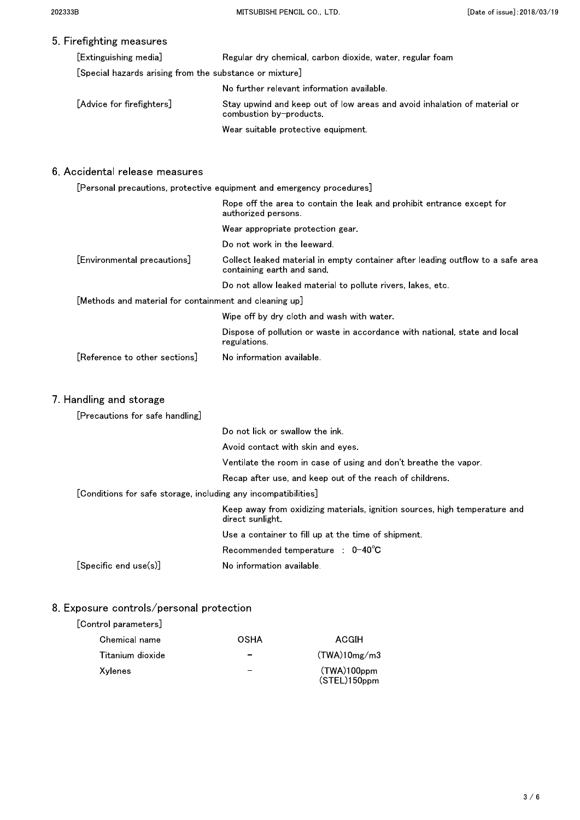### 5. Firefighting measures

| [Extinguishing media]                                   | Regular dry chemical, carbon dioxide, water, regular foam                                            |
|---------------------------------------------------------|------------------------------------------------------------------------------------------------------|
| [Special hazards arising from the substance or mixture] |                                                                                                      |
|                                                         | No further relevant information available.                                                           |
| [Advice for firefighters]                               | Stay upwind and keep out of low areas and avoid inhalation of material or<br>combustion by-products. |
|                                                         | Wear suitable protective equipment.                                                                  |

### 6. Accidental release measures

|                                                        | [Personal precautions, protective equipment and emergency procedures]                                        |
|--------------------------------------------------------|--------------------------------------------------------------------------------------------------------------|
|                                                        | Rope off the area to contain the leak and prohibit entrance except for<br>authorized persons.                |
|                                                        | Wear appropriate protection gear.                                                                            |
|                                                        | Do not work in the leeward.                                                                                  |
| [Environmental precautions]                            | Collect leaked material in empty container after leading outflow to a safe area<br>containing earth and sand |
|                                                        | Do not allow leaked material to pollute rivers, lakes, etc.                                                  |
| [Methods and material for containment and cleaning up] |                                                                                                              |
|                                                        | Wipe off by dry cloth and wash with water.                                                                   |
|                                                        | Dispose of pollution or waste in accordance with national, state and local<br>regulations.                   |
| [Reference to other sections]                          | No information available.                                                                                    |
|                                                        |                                                                                                              |

### 7. Handling and storage

| [Precautions for safe handling]                                  |                                                                                                |  |
|------------------------------------------------------------------|------------------------------------------------------------------------------------------------|--|
|                                                                  | Do not lick or swallow the ink.                                                                |  |
| Avoid contact with skin and eves                                 |                                                                                                |  |
| Ventilate the room in case of using and don't breathe the vapor. |                                                                                                |  |
| Recap after use, and keep out of the reach of childrens.         |                                                                                                |  |
| [Conditions for safe storage, including any incompatibilities]   |                                                                                                |  |
|                                                                  | Keep away from oxidizing materials, ignition sources, high temperature and<br>direct sunlight. |  |
|                                                                  | Use a container to fill up at the time of shipment.                                            |  |
|                                                                  | Recommended temperature $\therefore$ 0-40°C                                                    |  |
| $ S$ becific end use $(s) $                                      | No information available.                                                                      |  |

### 8. Exposure controls/personal protection

### [Control parameters]

| Chemical name    | OSHA | ACGIH                          |
|------------------|------|--------------------------------|
| Titanium dioxide |      | (TWA)10mg/m3                   |
| Xylenes          |      | $(TWA)100$ ppm<br>(STEL)150ppm |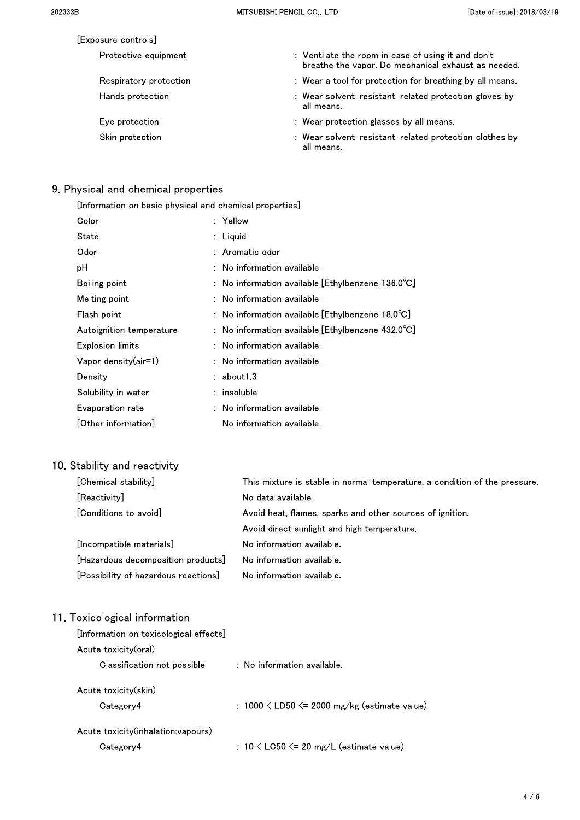| [Exposure controls]    |                                                                                                           |
|------------------------|-----------------------------------------------------------------------------------------------------------|
| Protective equipment   | : Ventilate the room in case of using it and don't<br>breathe the vapor. Do mechanical exhaust as needed. |
| Respiratory protection | : Wear a tool for protection for breathing by all means.                                                  |
| Hands protection       | : Wear solvent-resistant-related protection gloves by<br>all means.                                       |
| Eve protection         | : Wear protection glasses by all means                                                                    |
| Skin protection        | : Wear solvent-resistant-related protection clothes by<br>all means.                                      |

## 9. Physical and chemical properties

| [Information on basic physical and chemical properties] |                                                              |  |  |
|---------------------------------------------------------|--------------------------------------------------------------|--|--|
| Color                                                   | : Yellow                                                     |  |  |
| State                                                   | $:$ Liquid                                                   |  |  |
| Odor                                                    | : Aromatic odor                                              |  |  |
| рH                                                      | $:$ No information available.                                |  |  |
| Boiling point                                           | : No information available. [Ethylbenzene $136.0^{\circ}$ C] |  |  |
| Melting point                                           | $:$ No information available.                                |  |  |
| Flash point                                             | : No information available [Ethylbenzene 18.0 $C$ ]          |  |  |
| Autoignition temperature                                | : No information available. [Ethylbenzene $432.0^{\circ}$ C] |  |  |
| Explosion limits                                        | : No information available.                                  |  |  |
| Vapor density(air=1)                                    | $:$ No information available.                                |  |  |
| Density                                                 | : about13                                                    |  |  |
| Solubility in water                                     | $:$ insoluble                                                |  |  |
| Evaporation rate                                        | $:$ No information available.                                |  |  |
| [Other information]                                     | No information available.                                    |  |  |
|                                                         |                                                              |  |  |

## 10. Stability and reactivity

| [Chemical stability]                 | This mixture is stable in normal temperature, a condition of the pressure. |
|--------------------------------------|----------------------------------------------------------------------------|
| [Reactivity]                         | No data available.                                                         |
| [Conditions to avoid]                | Avoid heat, flames, sparks and other sources of ignition.                  |
|                                      | Avoid direct sunlight and high temperature.                                |
| [Incompatible materials]             | No information available.                                                  |
| [Hazardous decomposition products]   | No information available.                                                  |
| [Possibility of hazardous reactions] | No information available                                                   |

## 11. Toxicological information

| [Information on toxicological effects]          |                                                     |  |  |
|-------------------------------------------------|-----------------------------------------------------|--|--|
| Acute toxicity(oral)                            |                                                     |  |  |
| Classification not possible                     | $\therefore$ No information available.              |  |  |
| Acute toxicity(skin)<br>Category4               | : $1000 \leq LDS0 \leq 2000$ mg/kg (estimate value) |  |  |
| Acute toxicity(inhalation:vapours)<br>Category4 | : 10 $\leq$ LC50 $\leq$ 20 mg/L (estimate value)    |  |  |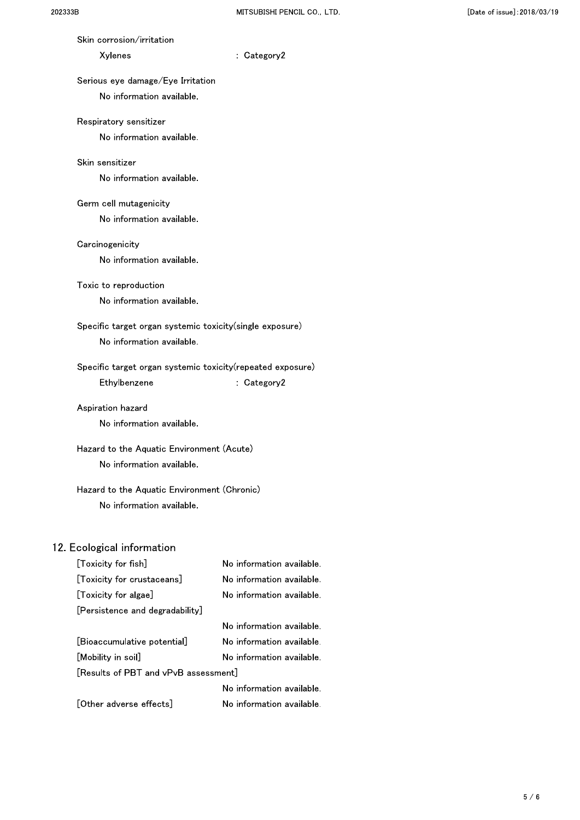| Skin corrosion/irritation                                   |                           |  |
|-------------------------------------------------------------|---------------------------|--|
| Xylenes                                                     | : Category2               |  |
| Serious eye damage/Eye Irritation                           |                           |  |
| No information available.                                   |                           |  |
|                                                             |                           |  |
| Respiratory sensitizer<br>No information available.         |                           |  |
|                                                             |                           |  |
| Skin sensitizer                                             |                           |  |
| No information available.                                   |                           |  |
| Germ cell mutagenicity                                      |                           |  |
| No information available.                                   |                           |  |
| Carcinogenicity                                             |                           |  |
| No information available.                                   |                           |  |
|                                                             |                           |  |
| Toxic to reproduction                                       |                           |  |
| No information available.                                   |                           |  |
| Specific target organ systemic toxicity(single exposure)    |                           |  |
| No information available.                                   |                           |  |
| Specific target organ systemic toxicity (repeated exposure) |                           |  |
| Ethylbenzene                                                | : Category2               |  |
| Aspiration hazard                                           |                           |  |
| No information available.                                   |                           |  |
|                                                             |                           |  |
| Hazard to the Aquatic Environment (Acute)                   |                           |  |
| No information available.                                   |                           |  |
| Hazard to the Aquatic Environment (Chronic)                 |                           |  |
| No information available.                                   |                           |  |
|                                                             |                           |  |
| 12. Ecological information                                  |                           |  |
| [Toxicity for fish]                                         | No information available. |  |
| [Toxicity for crustaceans]                                  | No information available. |  |
| [Toxicity for algae]                                        | No information available. |  |
| [Persistence and degradability]                             |                           |  |

|                                      | No information available. |  |
|--------------------------------------|---------------------------|--|
| [Bioaccumulative potential]          | No information available. |  |
| [Mobility in soil]                   | No information available. |  |
| [Results of PBT and vPvB assessment] |                           |  |
|                                      | No information available. |  |
| [Other adverse effects]              | No information available. |  |